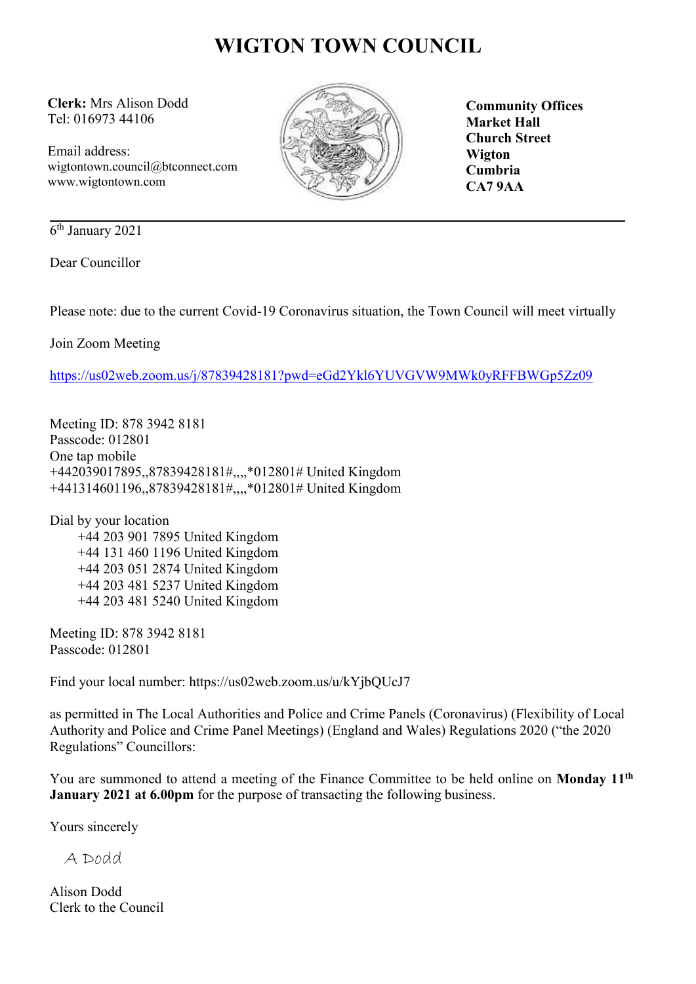# **WIGTON TOWN COUNCIL**

**Clerk:** Mrs Alison Dodd Tel: 016973 44106

Email address: wigtontown.council@btconnect.com www.wigtontown.com



**Community Offices Market Hall Church Street Wigton Cumbria CA7 9AA**

6 th January 2021

Dear Councillor

Please note: due to the current Covid-19 Coronavirus situation, the Town Council will meet virtually

Join Zoom Meeting

<https://us02web.zoom.us/j/87839428181?pwd=eGd2Ykl6YUVGVW9MWk0yRFFBWGp5Zz09>

Meeting ID: 878 3942 8181 Passcode: 012801 One tap mobile +442039017895,,87839428181#,,,,\*012801# United Kingdom +441314601196,,87839428181#,,,,\*012801# United Kingdom

Dial by your location +44 203 901 7895 United Kingdom +44 131 460 1196 United Kingdom +44 203 051 2874 United Kingdom +44 203 481 5237 United Kingdom +44 203 481 5240 United Kingdom

Meeting ID: 878 3942 8181 Passcode: 012801

Find your local number: https://us02web.zoom.us/u/kYjbQUcJ7

as permitted in The Local Authorities and Police and Crime Panels (Coronavirus) (Flexibility of Local Authority and Police and Crime Panel Meetings) (England and Wales) Regulations 2020 ("the 2020 Regulations" Councillors:

You are summoned to attend a meeting of the Finance Committee to be held online on **Monday 11th January 2021 at 6.00pm** for the purpose of transacting the following business.

Yours sincerely

A Dodd

Alison Dodd Clerk to the Council